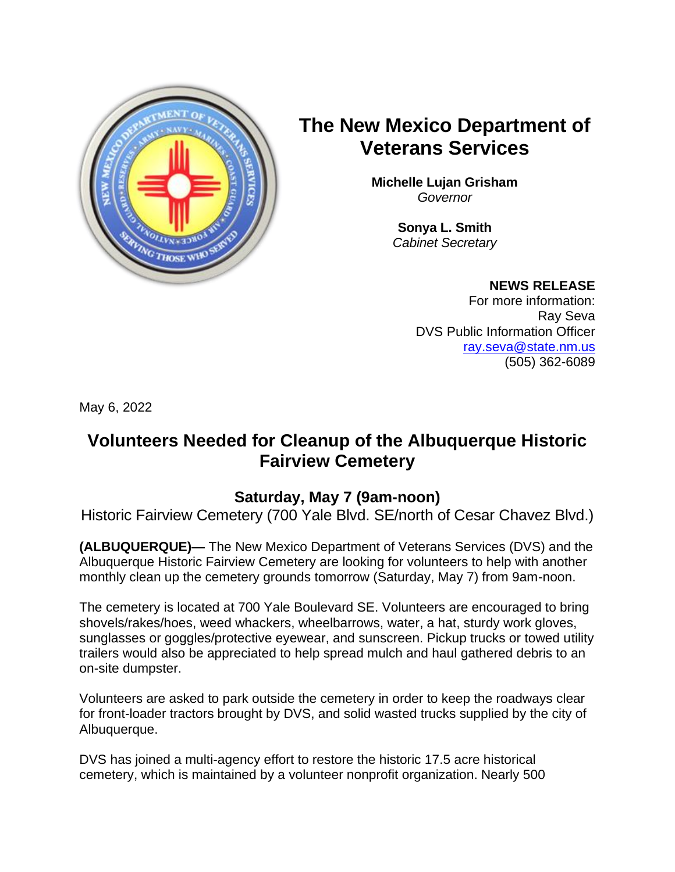

# **The New Mexico Department of Veterans Services**

**Michelle Lujan Grisham** *Governor*

> **Sonya L. Smith**  *Cabinet Secretary*

## **NEWS RELEASE**

For more information: Ray Seva DVS Public Information Officer [ray.seva@state.nm.us](mailto:ray.seva@state.nm.us) (505) 362-6089

May 6, 2022

## **Volunteers Needed for Cleanup of the Albuquerque Historic Fairview Cemetery**

## **Saturday, May 7 (9am-noon)**

Historic Fairview Cemetery (700 Yale Blvd. SE/north of Cesar Chavez Blvd.)

**(ALBUQUERQUE)—** The New Mexico Department of Veterans Services (DVS) and the Albuquerque Historic Fairview Cemetery are looking for volunteers to help with another monthly clean up the cemetery grounds tomorrow (Saturday, May 7) from 9am-noon.

The cemetery is located at 700 Yale Boulevard SE. Volunteers are encouraged to bring shovels/rakes/hoes, weed whackers, wheelbarrows, water, a hat, sturdy work gloves, sunglasses or goggles/protective eyewear, and sunscreen. Pickup trucks or towed utility trailers would also be appreciated to help spread mulch and haul gathered debris to an on-site dumpster.

Volunteers are asked to park outside the cemetery in order to keep the roadways clear for front-loader tractors brought by DVS, and solid wasted trucks supplied by the city of Albuquerque.

DVS has joined a multi-agency effort to restore the historic 17.5 acre historical cemetery, which is maintained by a volunteer nonprofit organization. Nearly 500